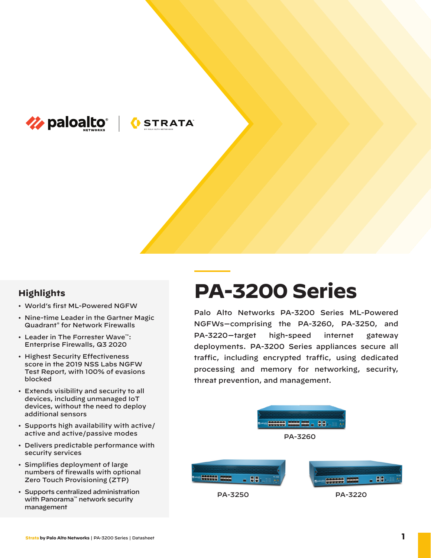

# **OSTRATA**

## **Highlights**

- World's first ML-Powered NGFW
- Nine-time Leader in the Gartner Magic Quadrant® for Network Firewalls
- Leader in The Forrester Wave™: Enterprise Firewalls, Q3 2020
- Highest Security Effectiveness score in the 2019 NSS Labs NGFW Test Report, with 100% of evasions blocked
- Extends visibility and security to all devices, including unmanaged IoT devices, without the need to deploy additional sensors
- Supports high availability with active/ active and active/passive modes
- Delivers predictable performance with security services
- Simplifies deployment of large numbers of firewalls with optional Zero Touch Provisioning (ZTP)
- Supports centralized administration with Panorama™ network security management

# **PA-3200 Series**

Palo Alto Networks PA-3200 Series ML-Powered NGFWs—comprising the PA-3260, PA-3250, and PA-3220— target high-speed internet gateway deployments. PA-3200 Series appliances secure all traffic, including encrypted traffic, using dedicated processing and memory for networking, security, threat prevention, and management.



PA-3250

PA-3220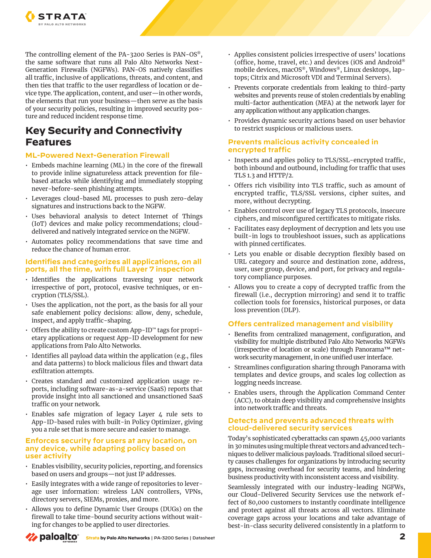

The controlling element of the PA-3200 Series is PAN-OS®, the same software that runs all Palo Alto Networks Next-Generation Firewalls (NGFWs). PAN-OS natively classifies all traffic, inclusive of applications, threats, and content, and then ties that traffic to the user regardless of location or device type. The application, content, and user—in other words, the elements that run your business—then serve as the basis of your security policies, resulting in improved security posture and reduced incident response time.

# **Key Security and Connectivity Features**

### **ML-Powered Next-Generation Firewall**

- Embeds machine learning (ML) in the core of the firewall to provide inline signatureless attack prevention for filebased attacks while identifying and immediately stopping never-before-seen phishing attempts.
- Leverages cloud-based ML processes to push zero-delay signatures and instructions back to the NGFW.
- Uses behavioral analysis to detect Internet of Things (IoT) devices and make policy recommendations; clouddelivered and natively integrated service on the NGFW.
- Automates policy recommendations that save time and reduce the chance of human error.

#### **Identifies and categorizes all applications, on all ports, all the time, with full Layer 7 inspection**

- Identifies the applications traversing your network irrespective of port, protocol, evasive techniques, or encryption (TLS/SSL).
- Uses the application, not the port, as the basis for all your safe enablement policy decisions: allow, deny, schedule, inspect, and apply traffic-shaping.
- Offers the ability to create custom App-ID™ tags for proprietary applications or request App-ID development for new applications from Palo Alto Networks.
- Identifies all payload data within the application (e.g., files and data patterns) to block malicious files and thwart data exfiltration attempts.
- Creates standard and customized application usage reports, including software-as-a-service (SaaS) reports that provide insight into all sanctioned and unsanctioned SaaS traffic on your network.
- Enables safe migration of legacy Layer 4 rule sets to App-ID-based rules with built-in Policy Optimizer, giving you a rule set that is more secure and easier to manage.

#### **Enforces security for users at any location, on any device, while adapting policy based on user activity**

- Enables visibility, security policies, reporting, and forensics based on users and groups—not just IP addresses.
- Easily integrates with a wide range of repositories to leverage user information: wireless LAN controllers, VPNs, directory servers, SIEMs, proxies, and more.
- Allows you to define Dynamic User Groups (DUGs) on the firewall to take time-bound security actions without waiting for changes to be applied to user directories.
- Applies consistent policies irrespective of users' locations (office, home, travel, etc.) and devices (iOS and Android® mobile devices, macOS®, Windows®, Linux desktops, laptops; Citrix and Microsoft VDI and Terminal Servers).
- Prevents corporate credentials from leaking to third-party websites and prevents reuse of stolen credentials by enabling multi-factor authentication (MFA) at the network layer for any application without any application changes.
- Provides dynamic security actions based on user behavior to restrict suspicious or malicious users.

#### **Prevents malicious activity concealed in encrypted traffic**

- Inspects and applies policy to TLS/SSL-encrypted traffic, both inbound and outbound, including for traffic that uses TLS 1.3 and HTTP/2.
- Offers rich visibility into TLS traffic, such as amount of encrypted traffic, TLS/SSL versions, cipher suites, and more, without decrypting.
- Enables control over use of legacy TLS protocols, insecure ciphers, and misconfigured certificates to mitigate risks.
- Facilitates easy deployment of decryption and lets you use built-in logs to troubleshoot issues, such as applications with pinned certificates.
- Lets you enable or disable decryption flexibly based on URL category and source and destination zone, address, user, user group, device, and port, for privacy and regulatory compliance purposes.
- Allows you to create a copy of decrypted traffic from the firewall (i.e., decryption mirroring) and send it to traffic collection tools for forensics, historical purposes, or data loss prevention (DLP).

### **Offers centralized management and visibility**

- Benefits from centralized management, configuration, and visibility for multiple distributed Palo Alto Networks NGFWs (irrespective of location or scale) through Panorama™ network security management, in one unified user interface.
- Streamlines configuration sharing through Panorama with templates and device groups, and scales log collection as logging needs increase.
- Enables users, through the Application Command Center (ACC), to obtain deep visibility and comprehensive insights into network traffic and threats.

#### **Detects and prevents advanced threats with cloud-delivered security services**

Today's sophisticated cyberattacks can spawn 45,000 variants in 30 minutes using multiple threat vectors and advanced techniques to deliver malicious payloads. Traditional siloed security causes challenges for organizations by introducing security gaps, increasing overhead for security teams, and hindering business productivity with inconsistent access and visibility.

Seamlessly integrated with our industry-leading NGFWs, our Cloud-Delivered Security Services use the network effect of 80,000 customers to instantly coordinate intelligence and protect against all threats across all vectors. Eliminate coverage gaps across your locations and take advantage of best-in-class security delivered consistently in a platform to

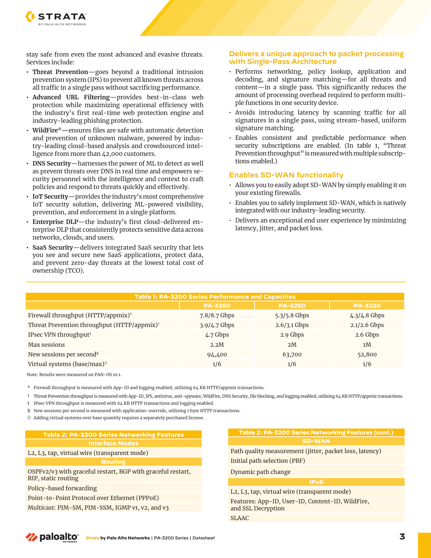

stay safe from even the most advanced and evasive threats. Services include:

- **Threat Prevention**—goes beyond a traditional intrusion prevention system (IPS) to prevent all known threats across all traffic in a single pass without sacrificing performance.
- **Advanced URL Filtering**—provides best-in-class web protection while maximizing operational efficiency with the industry's first real-time web protection engine and industry-leading phishing protection.
- **WildFire®—**ensures files are safe with automatic detection and prevention of unknown malware, powered by industry-leading cloud-based analysis and crowdsourced intelligence from more than 42,000 customers.
- **DNS Security**—harnesses the power of ML to detect as well as prevent threats over DNS in real time and empowers security personnel with the intelligence and context to craft policies and respond to threats quickly and effectively.
- **IoT Security**—provides the industry's most comprehensive IoT security solution, delivering ML-powered visibility, prevention, and enforcement in a single platform.
- **Enterprise DLP**—the industry's first cloud-delivered enterprise DLP that consistently protects sensitive data across networks, clouds, and users.
- **SaaS Security**—delivers integrated SaaS security that lets you see and secure new SaaS applications, protect data, and prevent zero-day threats at the lowest total cost of ownership (TCO).

#### **Delivers a unique approach to packet processing with Single-Pass Architecture**

- Performs networking, policy lookup, application and decoding, and signature matching—for all threats and content—in a single pass. This significantly reduces the amount of processing overhead required to perform multiple functions in one security device.
- Avoids introducing latency by scanning traffic for all signatures in a single pass, using stream-based, uniform signature matching.
- Enables consistent and predictable performance when security subscriptions are enabled. (In table 1, "Threat Prevention throughput" is measured with multiple subscriptions enabled.)

## **Enables SD-WAN functionality**

- Allows you to easily adopt SD-WAN by simply enabling it on your existing firewalls.
- Enables you to safely implement SD-WAN, which is natively integrated with our industry-leading security.
- Delivers an exceptional end user experience by minimizing latency, jitter, and packet loss.

| Table 1: PA-3200 Series Performance and Capacities      |                |                |                |  |
|---------------------------------------------------------|----------------|----------------|----------------|--|
|                                                         | <b>PA-3260</b> | <b>PA-3250</b> | <b>PA-3220</b> |  |
| Firewall throughput (HTTP/appmix)*                      | 7.8/8.7 Gbps   | 5.3/5.8 Gbps   | $4.3/4.8$ Gbps |  |
| Threat Prevention throughput (HTTP/appmix) <sup>†</sup> | 3.9/4.7 Gbps   | $2.6/3.1$ Gbps | $2.1/2.6$ Gbps |  |
| IPsec VPN throughput <sup>†</sup>                       | 4.7 Gbps       | 2.9 Gbps       | 2.6 Gbps       |  |
| Max sessions                                            | 2.2M           | 2M             | 1 <sub>M</sub> |  |
| New sessions per second <sup>§</sup>                    | 94,400         | 63,700         | 52,800         |  |
| Virtual systems (base/max) <sup>11</sup>                | 1/6            | 1/6            | 1/6            |  |

Note: Results were measured on PAN-OS 10.1.

\* Firewall throughput is measured with App-ID and logging enabled, utilizing 64 KB HTTP/appmix transactions.

† Threat Prevention throughput is measured with App-ID, IPS, antivirus, anti-spyware, WildFire, DNS Security, file blocking, and logging enabled, utilizing 64 KB HTTP/appmix transactions.

‡ IPsec VPN throughput is measured with 64 KB HTTP transactions and logging enabled.

§ New sessions per second is measured with application-override, utilizing 1 byte HTTP transactions.

|| Adding virtual systems over base quantity requires a separately purchased license.

| <b>Table 2: PA-3200 Series Networking Features</b>                                        | Table 2: PA-3200 Series Networking Features (cont.)                          |  |
|-------------------------------------------------------------------------------------------|------------------------------------------------------------------------------|--|
| <b>Interface Modes</b>                                                                    | <b>SD-WAN</b>                                                                |  |
| L2, L3, tap, virtual wire (transparent mode)                                              | Path quality measurement (jitter, packet loss, latency)                      |  |
| <b>Routing</b>                                                                            | Initial path selection (PBF)                                                 |  |
| OSPFv2/v3 with graceful restart, BGP with graceful restart,<br><b>RIP, static routing</b> | Dynamic path change                                                          |  |
| Policy-based forwarding                                                                   | IP <sub>V</sub> <sub>6</sub><br>L2, L3, tap, virtual wire (transparent mode) |  |
| Point-to-Point Protocol over Ethernet (PPPoE)                                             | Features: App-ID, User-ID, Content-ID, WildFire,                             |  |
| Multicast: PIM-SM, PIM-SSM, IGMP v1, v2, and v3                                           | and SSL Decryption                                                           |  |
|                                                                                           | <b>SLAAC</b>                                                                 |  |